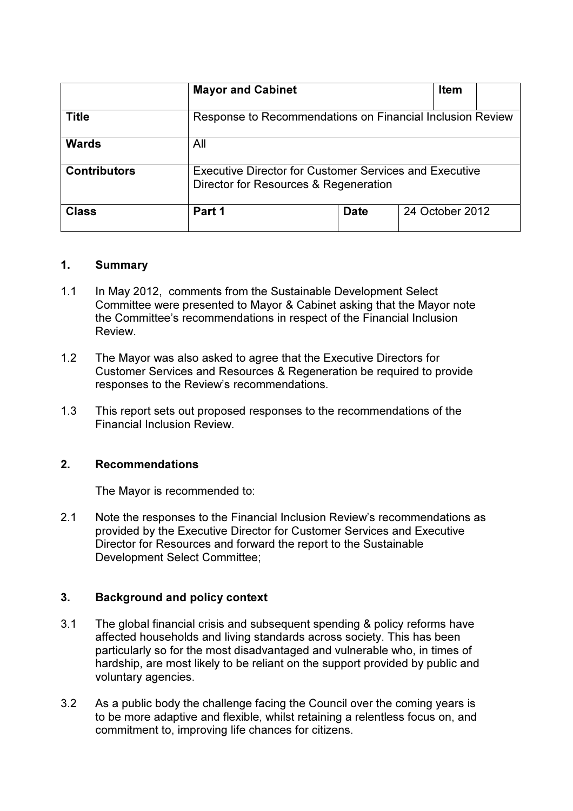|                     | <b>Mayor and Cabinet</b>                                                                               |             | <b>Item</b>     |  |
|---------------------|--------------------------------------------------------------------------------------------------------|-------------|-----------------|--|
| <b>Title</b>        | Response to Recommendations on Financial Inclusion Review                                              |             |                 |  |
| <b>Wards</b>        | All                                                                                                    |             |                 |  |
| <b>Contributors</b> | <b>Executive Director for Customer Services and Executive</b><br>Director for Resources & Regeneration |             |                 |  |
| <b>Class</b>        | Part 1                                                                                                 | <b>Date</b> | 24 October 2012 |  |

#### 1. Summary

- 1.1 In May 2012, comments from the Sustainable Development Select Committee were presented to Mayor & Cabinet asking that the Mayor note the Committee's recommendations in respect of the Financial Inclusion Review.
- 1.2 The Mayor was also asked to agree that the Executive Directors for Customer Services and Resources & Regeneration be required to provide responses to the Review's recommendations.
- 1.3 This report sets out proposed responses to the recommendations of the Financial Inclusion Review.

#### 2. Recommendations

The Mayor is recommended to:

2.1 Note the responses to the Financial Inclusion Review's recommendations as provided by the Executive Director for Customer Services and Executive Director for Resources and forward the report to the Sustainable Development Select Committee;

# 3. Background and policy context

- 3.1 The global financial crisis and subsequent spending & policy reforms have affected households and living standards across society. This has been particularly so for the most disadvantaged and vulnerable who, in times of hardship, are most likely to be reliant on the support provided by public and voluntary agencies.
- 3.2 As a public body the challenge facing the Council over the coming years is to be more adaptive and flexible, whilst retaining a relentless focus on, and commitment to, improving life chances for citizens.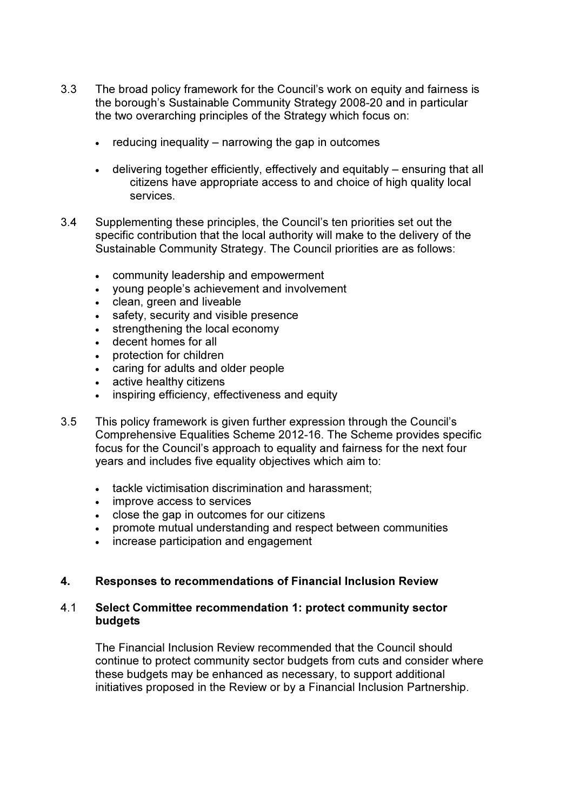- 3.3 The broad policy framework for the Council's work on equity and fairness is the borough's Sustainable Community Strategy 2008-20 and in particular the two overarching principles of the Strategy which focus on:
	- reducing inequality  $-$  narrowing the gap in outcomes
	- delivering together efficiently, effectively and equitably ensuring that all citizens have appropriate access to and choice of high quality local services.
- 3.4 Supplementing these principles, the Council's ten priorities set out the specific contribution that the local authority will make to the delivery of the Sustainable Community Strategy. The Council priorities are as follows:
	- community leadership and empowerment
	- young people's achievement and involvement
	- clean, green and liveable
	- safety, security and visible presence
	- strengthening the local economy
	- decent homes for all
	- protection for children
	- caring for adults and older people
	- active healthy citizens
	- inspiring efficiency, effectiveness and equity
- 3.5 This policy framework is given further expression through the Council's Comprehensive Equalities Scheme 2012-16. The Scheme provides specific focus for the Council's approach to equality and fairness for the next four years and includes five equality objectives which aim to:
	- tackle victimisation discrimination and harassment:
	- improve access to services
	- close the gap in outcomes for our citizens
	- promote mutual understanding and respect between communities
	- increase participation and engagement

#### 4. Responses to recommendations of Financial Inclusion Review

#### 4.1 Select Committee recommendation 1: protect community sector **budgets**

The Financial Inclusion Review recommended that the Council should continue to protect community sector budgets from cuts and consider where these budgets may be enhanced as necessary, to support additional initiatives proposed in the Review or by a Financial Inclusion Partnership.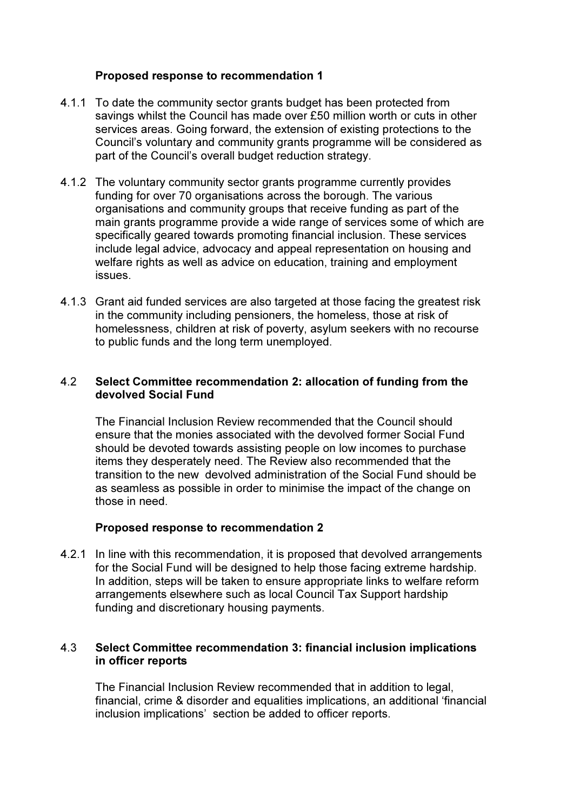# Proposed response to recommendation 1

- 4.1.1 To date the community sector grants budget has been protected from savings whilst the Council has made over £50 million worth or cuts in other services areas. Going forward, the extension of existing protections to the Council's voluntary and community grants programme will be considered as part of the Council's overall budget reduction strategy.
- 4.1.2 The voluntary community sector grants programme currently provides funding for over 70 organisations across the borough. The various organisations and community groups that receive funding as part of the main grants programme provide a wide range of services some of which are specifically geared towards promoting financial inclusion. These services include legal advice, advocacy and appeal representation on housing and welfare rights as well as advice on education, training and employment issues.
- 4.1.3 Grant aid funded services are also targeted at those facing the greatest risk in the community including pensioners, the homeless, those at risk of homelessness, children at risk of poverty, asylum seekers with no recourse to public funds and the long term unemployed.

#### 4.2 Select Committee recommendation 2: allocation of funding from the devolved Social Fund

The Financial Inclusion Review recommended that the Council should ensure that the monies associated with the devolved former Social Fund should be devoted towards assisting people on low incomes to purchase items they desperately need. The Review also recommended that the transition to the new devolved administration of the Social Fund should be as seamless as possible in order to minimise the impact of the change on those in need.

#### Proposed response to recommendation 2

4.2.1 In line with this recommendation, it is proposed that devolved arrangements for the Social Fund will be designed to help those facing extreme hardship. In addition, steps will be taken to ensure appropriate links to welfare reform arrangements elsewhere such as local Council Tax Support hardship funding and discretionary housing payments.

# 4.3 Select Committee recommendation 3: financial inclusion implications in officer reports

The Financial Inclusion Review recommended that in addition to legal, financial, crime & disorder and equalities implications, an additional 'financial inclusion implications' section be added to officer reports.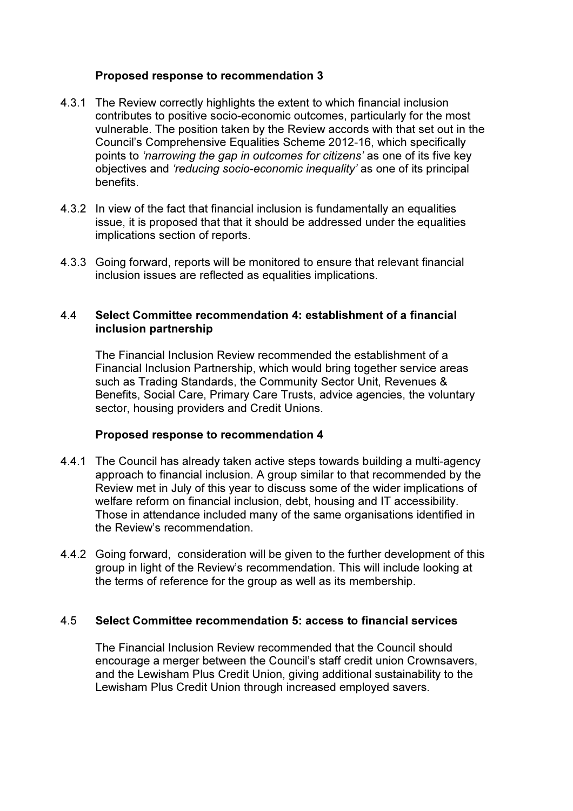# Proposed response to recommendation 3

- 4.3.1 The Review correctly highlights the extent to which financial inclusion contributes to positive socio-economic outcomes, particularly for the most vulnerable. The position taken by the Review accords with that set out in the Council's Comprehensive Equalities Scheme 2012-16, which specifically points to 'narrowing the gap in outcomes for citizens' as one of its five key objectives and 'reducing socio-economic inequality' as one of its principal benefits.
- 4.3.2 In view of the fact that financial inclusion is fundamentally an equalities issue, it is proposed that that it should be addressed under the equalities implications section of reports.
- 4.3.3 Going forward, reports will be monitored to ensure that relevant financial inclusion issues are reflected as equalities implications.

#### 4.4 Select Committee recommendation 4: establishment of a financial inclusion partnership

The Financial Inclusion Review recommended the establishment of a Financial Inclusion Partnership, which would bring together service areas such as Trading Standards, the Community Sector Unit, Revenues & Benefits, Social Care, Primary Care Trusts, advice agencies, the voluntary sector, housing providers and Credit Unions.

#### Proposed response to recommendation 4

- 4.4.1 The Council has already taken active steps towards building a multi-agency approach to financial inclusion. A group similar to that recommended by the Review met in July of this year to discuss some of the wider implications of welfare reform on financial inclusion, debt, housing and IT accessibility. Those in attendance included many of the same organisations identified in the Review's recommendation.
- 4.4.2 Going forward, consideration will be given to the further development of this group in light of the Review's recommendation. This will include looking at the terms of reference for the group as well as its membership.

#### 4.5 Select Committee recommendation 5: access to financial services

The Financial Inclusion Review recommended that the Council should encourage a merger between the Council's staff credit union Crownsavers, and the Lewisham Plus Credit Union, giving additional sustainability to the Lewisham Plus Credit Union through increased employed savers.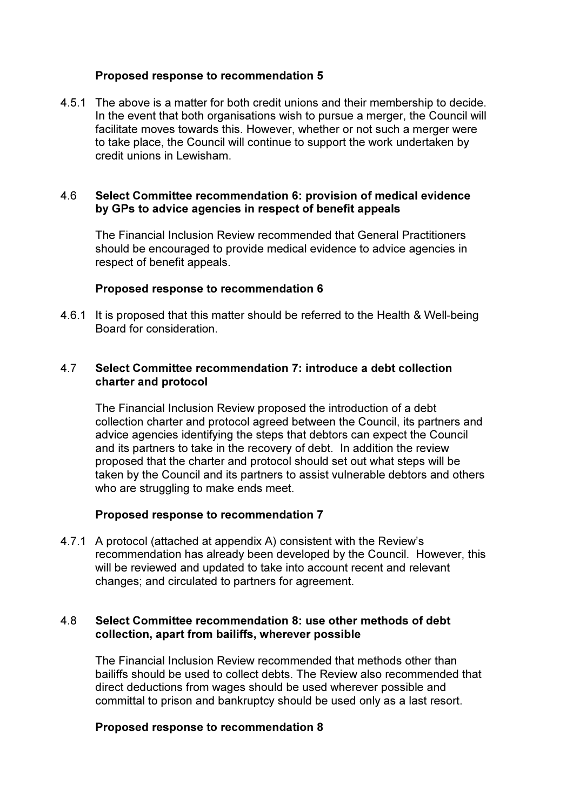#### Proposed response to recommendation 5

4.5.1 The above is a matter for both credit unions and their membership to decide. In the event that both organisations wish to pursue a merger, the Council will facilitate moves towards this. However, whether or not such a merger were to take place, the Council will continue to support the work undertaken by credit unions in Lewisham.

#### 4.6 Select Committee recommendation 6: provision of medical evidence by GPs to advice agencies in respect of benefit appeals

The Financial Inclusion Review recommended that General Practitioners should be encouraged to provide medical evidence to advice agencies in respect of benefit appeals.

#### Proposed response to recommendation 6

4.6.1 It is proposed that this matter should be referred to the Health & Well-being Board for consideration.

#### 4.7 Select Committee recommendation 7: introduce a debt collection charter and protocol

The Financial Inclusion Review proposed the introduction of a debt collection charter and protocol agreed between the Council, its partners and advice agencies identifying the steps that debtors can expect the Council and its partners to take in the recovery of debt. In addition the review proposed that the charter and protocol should set out what steps will be taken by the Council and its partners to assist vulnerable debtors and others who are struggling to make ends meet.

#### Proposed response to recommendation 7

4.7.1 A protocol (attached at appendix A) consistent with the Review's recommendation has already been developed by the Council. However, this will be reviewed and updated to take into account recent and relevant changes; and circulated to partners for agreement.

#### 4.8 Select Committee recommendation 8: use other methods of debt collection, apart from bailiffs, wherever possible

The Financial Inclusion Review recommended that methods other than bailiffs should be used to collect debts. The Review also recommended that direct deductions from wages should be used wherever possible and committal to prison and bankruptcy should be used only as a last resort.

#### Proposed response to recommendation 8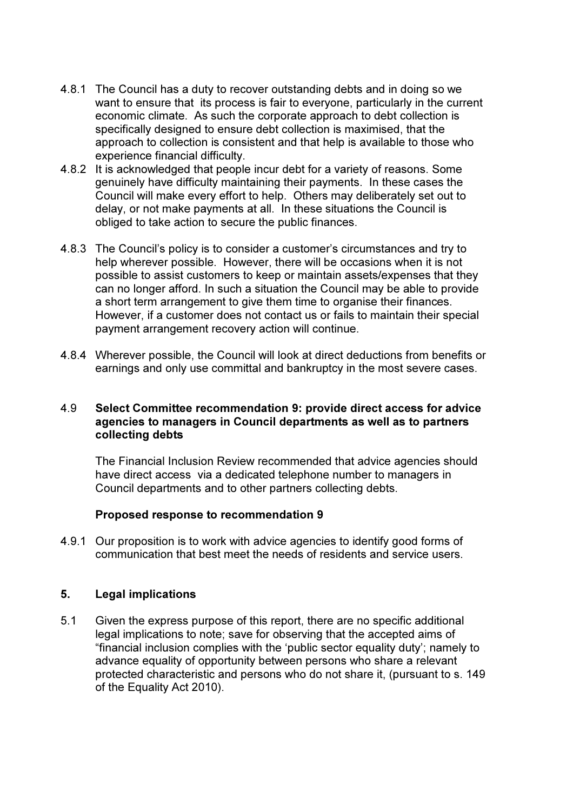- 4.8.1 The Council has a duty to recover outstanding debts and in doing so we want to ensure that its process is fair to everyone, particularly in the current economic climate. As such the corporate approach to debt collection is specifically designed to ensure debt collection is maximised, that the approach to collection is consistent and that help is available to those who experience financial difficulty.
- 4.8.2 It is acknowledged that people incur debt for a variety of reasons. Some genuinely have difficulty maintaining their payments. In these cases the Council will make every effort to help. Others may deliberately set out to delay, or not make payments at all. In these situations the Council is obliged to take action to secure the public finances.
- 4.8.3 The Council's policy is to consider a customer's circumstances and try to help wherever possible. However, there will be occasions when it is not possible to assist customers to keep or maintain assets/expenses that they can no longer afford. In such a situation the Council may be able to provide a short term arrangement to give them time to organise their finances. However, if a customer does not contact us or fails to maintain their special payment arrangement recovery action will continue.
- 4.8.4 Wherever possible, the Council will look at direct deductions from benefits or earnings and only use committal and bankruptcy in the most severe cases.

#### 4.9 Select Committee recommendation 9: provide direct access for advice agencies to managers in Council departments as well as to partners collecting debts

The Financial Inclusion Review recommended that advice agencies should have direct access via a dedicated telephone number to managers in Council departments and to other partners collecting debts.

#### Proposed response to recommendation 9

4.9.1 Our proposition is to work with advice agencies to identify good forms of communication that best meet the needs of residents and service users.

#### 5. Legal implications

5.1 Given the express purpose of this report, there are no specific additional legal implications to note; save for observing that the accepted aims of "financial inclusion complies with the 'public sector equality duty'; namely to advance equality of opportunity between persons who share a relevant protected characteristic and persons who do not share it, (pursuant to s. 149 of the Equality Act 2010).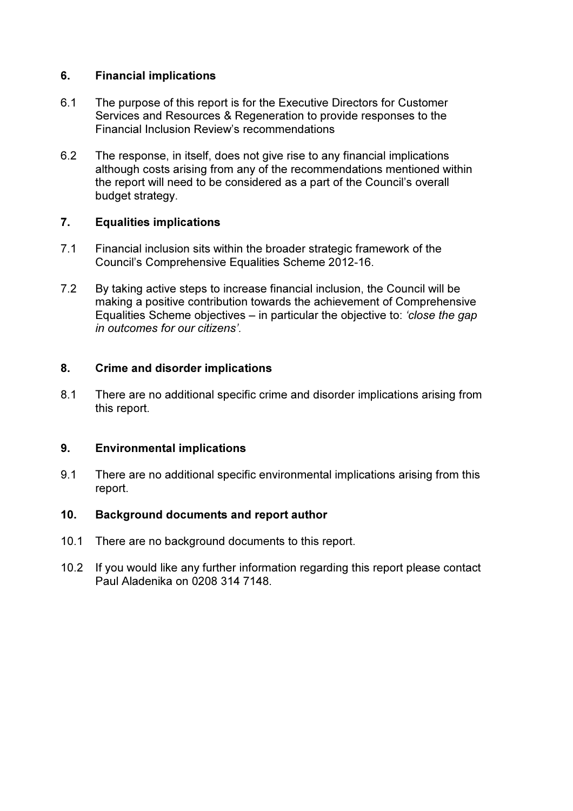# 6. Financial implications

- 6.1 The purpose of this report is for the Executive Directors for Customer Services and Resources & Regeneration to provide responses to the Financial Inclusion Review's recommendations
- 6.2 The response, in itself, does not give rise to any financial implications although costs arising from any of the recommendations mentioned within the report will need to be considered as a part of the Council's overall budget strategy.

# 7. Equalities implications

- 7.1 Financial inclusion sits within the broader strategic framework of the Council's Comprehensive Equalities Scheme 2012-16.
- 7.2 By taking active steps to increase financial inclusion, the Council will be making a positive contribution towards the achievement of Comprehensive Equalities Scheme objectives – in particular the objective to: 'close the gap in outcomes for our citizens'.

#### 8. Crime and disorder implications

8.1 There are no additional specific crime and disorder implications arising from this report.

#### 9. Environmental implications

9.1 There are no additional specific environmental implications arising from this report.

#### 10. Background documents and report author

- 10.1 There are no background documents to this report.
- 10.2 If you would like any further information regarding this report please contact Paul Aladenika on 0208 314 7148.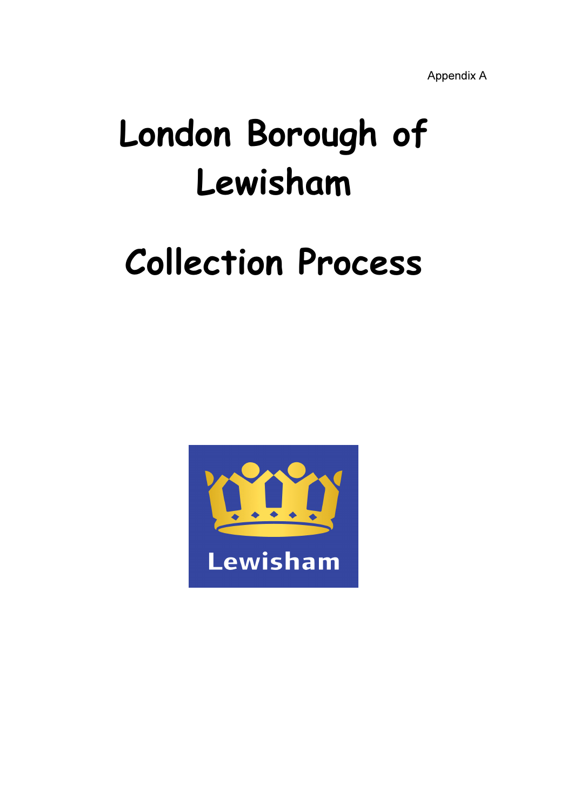Appendix A

# London Borough of Lewisham

# Collection Process

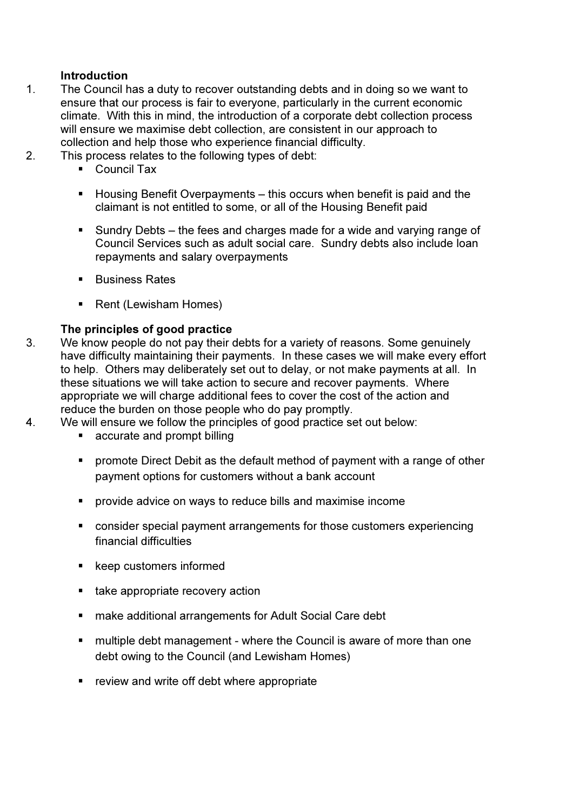# **Introduction**

- 1. The Council has a duty to recover outstanding debts and in doing so we want to ensure that our process is fair to everyone, particularly in the current economic climate. With this in mind, the introduction of a corporate debt collection process will ensure we maximise debt collection, are consistent in our approach to collection and help those who experience financial difficulty.
- 2. This process relates to the following types of debt:
	- Council Tax
	- $\blacksquare$  Housing Benefit Overpayments this occurs when benefit is paid and the claimant is not entitled to some, or all of the Housing Benefit paid
	- Sundry Debts the fees and charges made for a wide and varying range of Council Services such as adult social care. Sundry debts also include loan repayments and salary overpayments
	- **Business Rates**
	- Rent (Lewisham Homes)

# The principles of good practice

- 3. We know people do not pay their debts for a variety of reasons. Some genuinely have difficulty maintaining their payments. In these cases we will make every effort to help. Others may deliberately set out to delay, or not make payments at all. In these situations we will take action to secure and recover payments. Where appropriate we will charge additional fees to cover the cost of the action and reduce the burden on those people who do pay promptly.
- 4. We will ensure we follow the principles of good practice set out below:
	- **Exercise and prompt billing**
	- **•** promote Direct Debit as the default method of payment with a range of other payment options for customers without a bank account
	- **PED FIGHT DEAD IS 2018 THE ADDET THE ADDET provide advice on ways to reduce bills and maximise income**
	- consider special payment arrangements for those customers experiencing financial difficulties
	- keep customers informed
	- take appropriate recovery action
	- make additional arrangements for Adult Social Care debt
	- **nultiple debt management where the Council is aware of more than one** debt owing to the Council (and Lewisham Homes)
	- **F** review and write off debt where appropriate